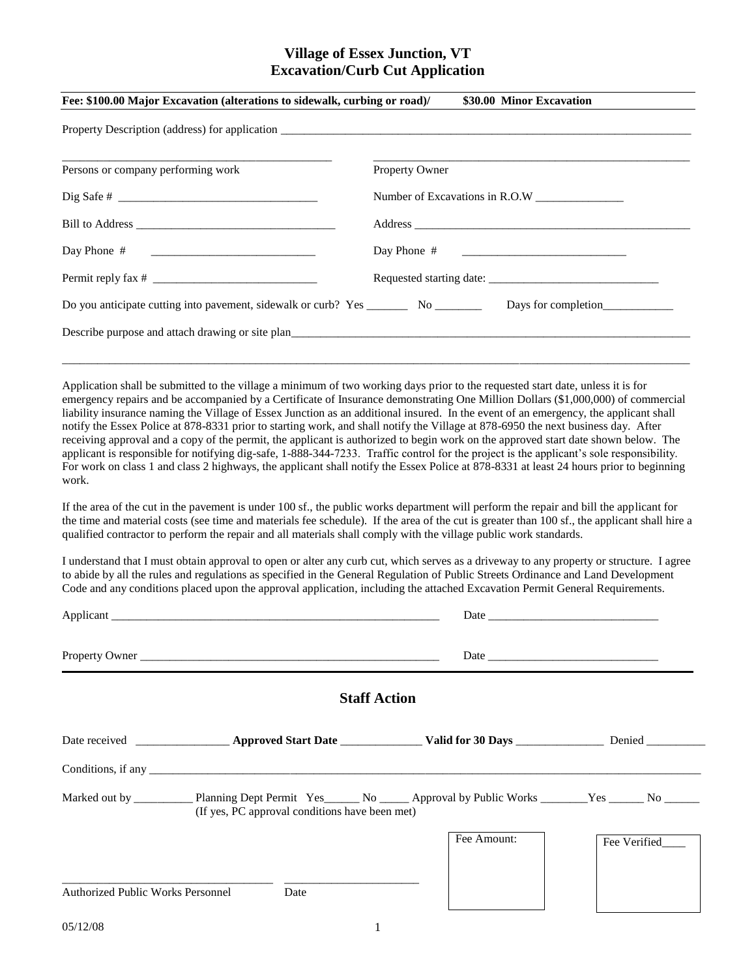## **Village of Essex Junction, VT Excavation/Curb Cut Application**

| Fee: \$100.00 Major Excavation (alterations to sidewalk, curbing or road)/                                                                                                                                                                                                    | \$30.00 Minor Excavation                                                                                                                                                                                                                                                                                                                                                                                                                                                                                                                                                                                                                                                                             |
|-------------------------------------------------------------------------------------------------------------------------------------------------------------------------------------------------------------------------------------------------------------------------------|------------------------------------------------------------------------------------------------------------------------------------------------------------------------------------------------------------------------------------------------------------------------------------------------------------------------------------------------------------------------------------------------------------------------------------------------------------------------------------------------------------------------------------------------------------------------------------------------------------------------------------------------------------------------------------------------------|
|                                                                                                                                                                                                                                                                               |                                                                                                                                                                                                                                                                                                                                                                                                                                                                                                                                                                                                                                                                                                      |
| Persons or company performing work                                                                                                                                                                                                                                            | Property Owner                                                                                                                                                                                                                                                                                                                                                                                                                                                                                                                                                                                                                                                                                       |
|                                                                                                                                                                                                                                                                               |                                                                                                                                                                                                                                                                                                                                                                                                                                                                                                                                                                                                                                                                                                      |
|                                                                                                                                                                                                                                                                               |                                                                                                                                                                                                                                                                                                                                                                                                                                                                                                                                                                                                                                                                                                      |
| Day Phone #                                                                                                                                                                                                                                                                   | Day Phone #<br><u> 1980 - Jan James James Barnett, fransk politik (d. 1980)</u>                                                                                                                                                                                                                                                                                                                                                                                                                                                                                                                                                                                                                      |
|                                                                                                                                                                                                                                                                               |                                                                                                                                                                                                                                                                                                                                                                                                                                                                                                                                                                                                                                                                                                      |
|                                                                                                                                                                                                                                                                               |                                                                                                                                                                                                                                                                                                                                                                                                                                                                                                                                                                                                                                                                                                      |
| Describe purpose and attach drawing or site plan                                                                                                                                                                                                                              |                                                                                                                                                                                                                                                                                                                                                                                                                                                                                                                                                                                                                                                                                                      |
| Application shall be submitted to the village a minimum of two working days prior to the requested start date, unless it is for<br>notify the Essex Police at 878-8331 prior to starting work, and shall notify the Village at 878-6950 the next business day. After<br>work. | emergency repairs and be accompanied by a Certificate of Insurance demonstrating One Million Dollars (\$1,000,000) of commercial<br>liability insurance naming the Village of Essex Junction as an additional insured. In the event of an emergency, the applicant shall<br>receiving approval and a copy of the permit, the applicant is authorized to begin work on the approved start date shown below. The<br>applicant is responsible for notifying dig-safe, 1-888-344-7233. Traffic control for the project is the applicant's sole responsibility.<br>For work on class 1 and class 2 highways, the applicant shall notify the Essex Police at 878-8331 at least 24 hours prior to beginning |
| qualified contractor to perform the repair and all materials shall comply with the village public work standards.                                                                                                                                                             | If the area of the cut in the pavement is under 100 sf., the public works department will perform the repair and bill the applicant for<br>the time and material costs (see time and materials fee schedule). If the area of the cut is greater than 100 sf., the applicant shall hire a                                                                                                                                                                                                                                                                                                                                                                                                             |
| Code and any conditions placed upon the approval application, including the attached Excavation Permit General Requirements.                                                                                                                                                  | I understand that I must obtain approval to open or alter any curb cut, which serves as a driveway to any property or structure. I agree<br>to abide by all the rules and regulations as specified in the General Regulation of Public Streets Ordinance and Land Development                                                                                                                                                                                                                                                                                                                                                                                                                        |
|                                                                                                                                                                                                                                                                               | Date and the contract of the contract of the contract of the contract of the contract of the contract of the contract of the contract of the contract of the contract of the contract of the contract of the contract of the c                                                                                                                                                                                                                                                                                                                                                                                                                                                                       |
| Property Owner                                                                                                                                                                                                                                                                |                                                                                                                                                                                                                                                                                                                                                                                                                                                                                                                                                                                                                                                                                                      |
| <b>Staff Action</b>                                                                                                                                                                                                                                                           |                                                                                                                                                                                                                                                                                                                                                                                                                                                                                                                                                                                                                                                                                                      |
|                                                                                                                                                                                                                                                                               |                                                                                                                                                                                                                                                                                                                                                                                                                                                                                                                                                                                                                                                                                                      |
| Conditions, if any $\frac{1}{\sqrt{2}}$ is the contract of the contract of the conditions of the conditions, if any $\frac{1}{\sqrt{2}}$                                                                                                                                      |                                                                                                                                                                                                                                                                                                                                                                                                                                                                                                                                                                                                                                                                                                      |
| (If yes, PC approval conditions have been met)                                                                                                                                                                                                                                | Marked out by ____________ Planning Dept Permit Yes______ No ______ Approval by Public Works _______Yes ______ No ______                                                                                                                                                                                                                                                                                                                                                                                                                                                                                                                                                                             |
|                                                                                                                                                                                                                                                                               | Fee Amount:<br>Fee Verified____                                                                                                                                                                                                                                                                                                                                                                                                                                                                                                                                                                                                                                                                      |

\_\_\_\_\_\_\_\_\_\_\_\_\_\_\_\_\_\_\_\_\_\_\_\_\_\_\_\_\_\_\_\_\_\_\_\_ \_\_\_\_\_\_\_\_\_\_\_\_\_\_\_\_\_\_\_\_\_\_\_